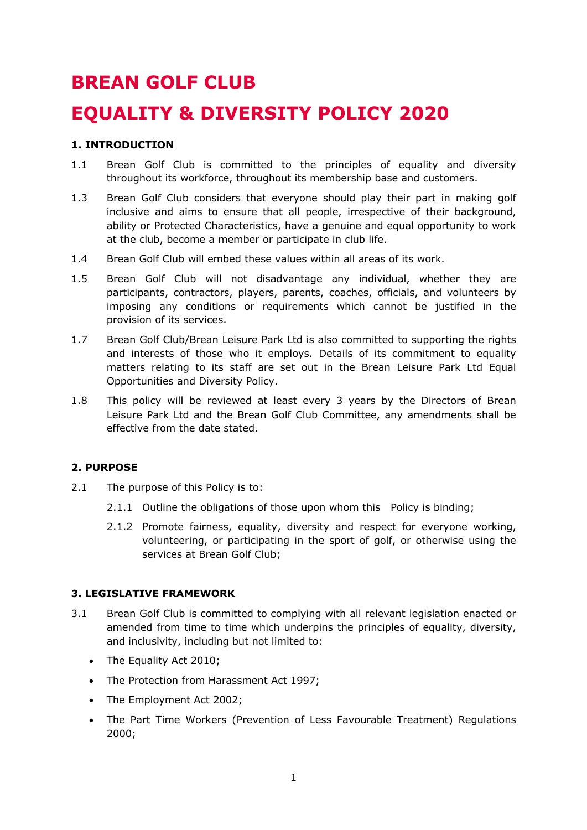# **BREAN GOLF CLUB**

# **EQUALITY & DIVERSITY POLICY 2020**

# **1. INTRODUCTION**

- 1.1 Brean Golf Club is committed to the principles of equality and diversity throughout its workforce, throughout its membership base and customers.
- 1.3 Brean Golf Club considers that everyone should play their part in making golf inclusive and aims to ensure that all people, irrespective of their background, ability or Protected Characteristics, have a genuine and equal opportunity to work at the club, become a member or participate in club life.
- 1.4 Brean Golf Club will embed these values within all areas of its work.
- 1.5 Brean Golf Club will not disadvantage any individual, whether they are participants, contractors, players, parents, coaches, officials, and volunteers by imposing any conditions or requirements which cannot be justified in the provision of its services.
- 1.7 Brean Golf Club/Brean Leisure Park Ltd is also committed to supporting the rights and interests of those who it employs. Details of its commitment to equality matters relating to its staff are set out in the Brean Leisure Park Ltd Equal Opportunities and Diversity Policy.
- 1.8 This policy will be reviewed at least every 3 years by the Directors of Brean Leisure Park Ltd and the Brean Golf Club Committee, any amendments shall be effective from the date stated.

# **2. PURPOSE**

- 2.1 The purpose of this Policy is to:
	- 2.1.1 Outline the obligations of those upon whom this Policy is binding;
	- 2.1.2 Promote fairness, equality, diversity and respect for everyone working, volunteering, or participating in the sport of golf, or otherwise using the services at Brean Golf Club;

# **3. LEGISLATIVE FRAMEWORK**

- 3.1 Brean Golf Club is committed to complying with all relevant legislation enacted or amended from time to time which underpins the principles of equality, diversity, and inclusivity, including but not limited to:
	- The Equality Act 2010;
	- The Protection from Harassment Act 1997;
	- The Employment Act 2002;
	- The Part Time Workers (Prevention of Less Favourable Treatment) Regulations 2000;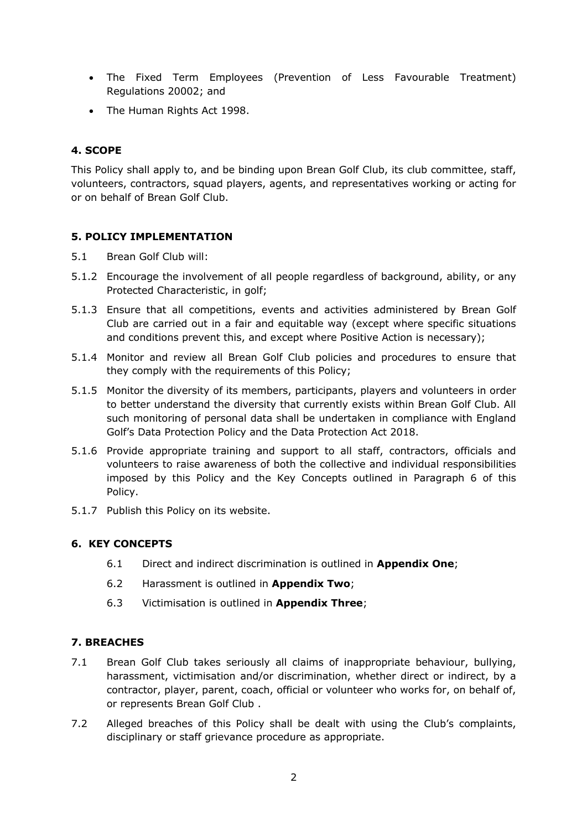- The Fixed Term Employees (Prevention of Less Favourable Treatment) Regulations 20002; and
- The Human Rights Act 1998.

# **4. SCOPE**

This Policy shall apply to, and be binding upon Brean Golf Club, its club committee, staff, volunteers, contractors, squad players, agents, and representatives working or acting for or on behalf of Brean Golf Club.

# **5. POLICY IMPLEMENTATION**

- 5.1 Brean Golf Club will:
- 5.1.2 Encourage the involvement of all people regardless of background, ability, or any Protected Characteristic, in golf;
- 5.1.3 Ensure that all competitions, events and activities administered by Brean Golf Club are carried out in a fair and equitable way (except where specific situations and conditions prevent this, and except where Positive Action is necessary);
- 5.1.4 Monitor and review all Brean Golf Club policies and procedures to ensure that they comply with the requirements of this Policy;
- 5.1.5 Monitor the diversity of its members, participants, players and volunteers in order to better understand the diversity that currently exists within Brean Golf Club. All such monitoring of personal data shall be undertaken in compliance with England Golf's Data Protection Policy and the Data Protection Act 2018.
- 5.1.6 Provide appropriate training and support to all staff, contractors, officials and volunteers to raise awareness of both the collective and individual responsibilities imposed by this Policy and the Key Concepts outlined in Paragraph 6 of this Policy.
- 5.1.7 Publish this Policy on its website.

# **6. KEY CONCEPTS**

- 6.1 Direct and indirect discrimination is outlined in **Appendix One**;
- 6.2 Harassment is outlined in **Appendix Two**;
- 6.3 Victimisation is outlined in **Appendix Three**;

# **7. BREACHES**

- 7.1 Brean Golf Club takes seriously all claims of inappropriate behaviour, bullying, harassment, victimisation and/or discrimination, whether direct or indirect, by a contractor, player, parent, coach, official or volunteer who works for, on behalf of, or represents Brean Golf Club .
- 7.2 Alleged breaches of this Policy shall be dealt with using the Club's complaints, disciplinary or staff grievance procedure as appropriate.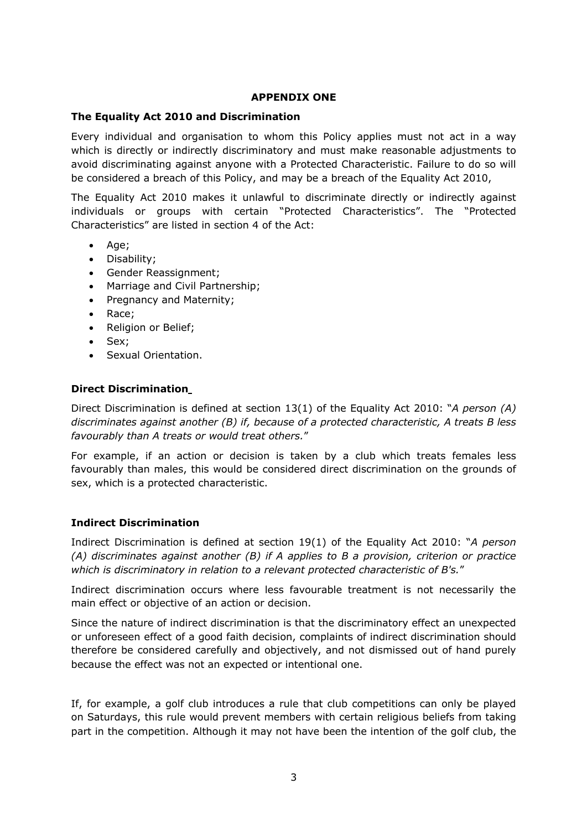# **APPENDIX ONE**

# **The Equality Act 2010 and Discrimination**

Every individual and organisation to whom this Policy applies must not act in a way which is directly or indirectly discriminatory and must make reasonable adjustments to avoid discriminating against anyone with a Protected Characteristic. Failure to do so will be considered a breach of this Policy, and may be a breach of the Equality Act 2010,

The Equality Act 2010 makes it unlawful to discriminate directly or indirectly against individuals or groups with certain "Protected Characteristics". The "Protected Characteristics" are listed in section 4 of the Act:

- Age;
- Disability;
- Gender Reassignment;
- Marriage and Civil Partnership;
- Pregnancy and Maternity;
- Race;
- Religion or Belief;
- Sex;
- Sexual Orientation.

# **Direct Discrimination**

Direct Discrimination is defined at section 13(1) of the Equality Act 2010: "*A person (A) discriminates against another (B) if, because of a protected characteristic, A treats B less favourably than A treats or would treat others.*"

For example, if an action or decision is taken by a club which treats females less favourably than males, this would be considered direct discrimination on the grounds of sex, which is a protected characteristic.

# **Indirect Discrimination**

Indirect Discrimination is defined at section 19(1) of the Equality Act 2010: "*A person (A) discriminates against another (B) if A applies to B a provision, criterion or practice which is discriminatory in relation to a relevant protected characteristic of B's.*"

Indirect discrimination occurs where less favourable treatment is not necessarily the main effect or objective of an action or decision.

Since the nature of indirect discrimination is that the discriminatory effect an unexpected or unforeseen effect of a good faith decision, complaints of indirect discrimination should therefore be considered carefully and objectively, and not dismissed out of hand purely because the effect was not an expected or intentional one.

If, for example, a golf club introduces a rule that club competitions can only be played on Saturdays, this rule would prevent members with certain religious beliefs from taking part in the competition. Although it may not have been the intention of the golf club, the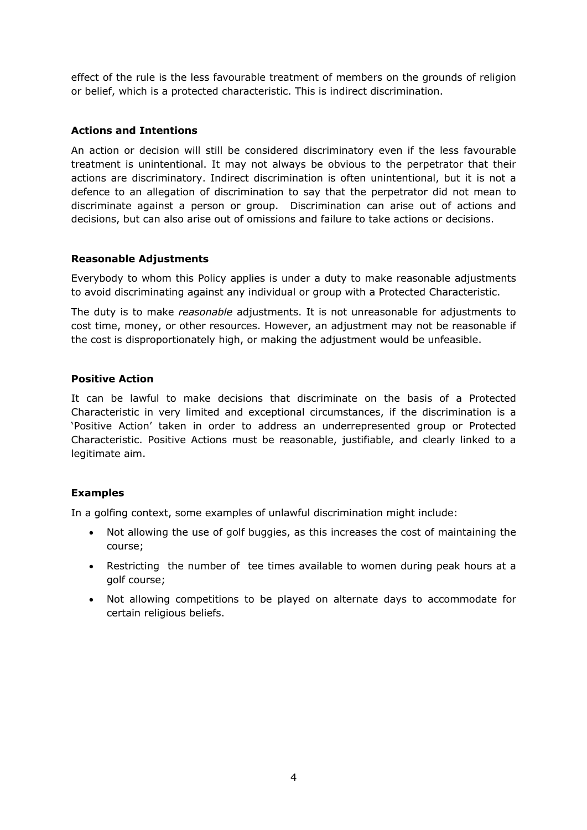effect of the rule is the less favourable treatment of members on the grounds of religion or belief, which is a protected characteristic. This is indirect discrimination.

# **Actions and Intentions**

An action or decision will still be considered discriminatory even if the less favourable treatment is unintentional. It may not always be obvious to the perpetrator that their actions are discriminatory. Indirect discrimination is often unintentional, but it is not a defence to an allegation of discrimination to say that the perpetrator did not mean to discriminate against a person or group. Discrimination can arise out of actions and decisions, but can also arise out of omissions and failure to take actions or decisions.

# **Reasonable Adjustments**

Everybody to whom this Policy applies is under a duty to make reasonable adjustments to avoid discriminating against any individual or group with a Protected Characteristic.

The duty is to make *reasonable* adjustments. It is not unreasonable for adjustments to cost time, money, or other resources. However, an adjustment may not be reasonable if the cost is disproportionately high, or making the adjustment would be unfeasible.

# **Positive Action**

It can be lawful to make decisions that discriminate on the basis of a Protected Characteristic in very limited and exceptional circumstances, if the discrimination is a 'Positive Action' taken in order to address an underrepresented group or Protected Characteristic. Positive Actions must be reasonable, justifiable, and clearly linked to a legitimate aim.

# **Examples**

In a golfing context, some examples of unlawful discrimination might include:

- Not allowing the use of golf buggies, as this increases the cost of maintaining the course;
- Restricting the number of tee times available to women during peak hours at a golf course;
- Not allowing competitions to be played on alternate days to accommodate for certain religious beliefs.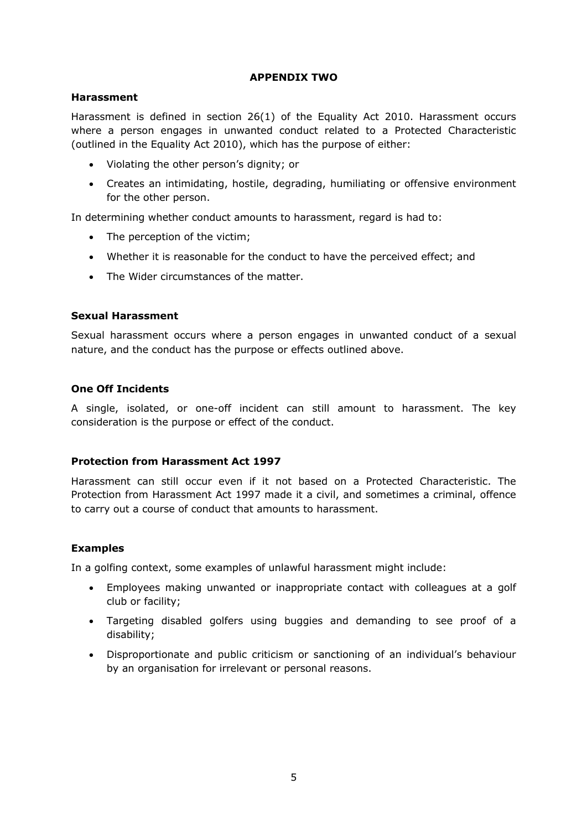# **APPENDIX TWO**

# **Harassment**

Harassment is defined in section 26(1) of the Equality Act 2010. Harassment occurs where a person engages in unwanted conduct related to a Protected Characteristic (outlined in the Equality Act 2010), which has the purpose of either:

- Violating the other person's dignity; or
- Creates an intimidating, hostile, degrading, humiliating or offensive environment for the other person.

In determining whether conduct amounts to harassment, regard is had to:

- The perception of the victim;
- Whether it is reasonable for the conduct to have the perceived effect; and
- The Wider circumstances of the matter.

# **Sexual Harassment**

Sexual harassment occurs where a person engages in unwanted conduct of a sexual nature, and the conduct has the purpose or effects outlined above.

# **One Off Incidents**

A single, isolated, or one-off incident can still amount to harassment. The key consideration is the purpose or effect of the conduct.

#### **Protection from Harassment Act 1997**

Harassment can still occur even if it not based on a Protected Characteristic. The Protection from Harassment Act 1997 made it a civil, and sometimes a criminal, offence to carry out a course of conduct that amounts to harassment.

#### **Examples**

In a golfing context, some examples of unlawful harassment might include:

- Employees making unwanted or inappropriate contact with colleagues at a golf club or facility;
- Targeting disabled golfers using buggies and demanding to see proof of a disability;
- Disproportionate and public criticism or sanctioning of an individual's behaviour by an organisation for irrelevant or personal reasons.